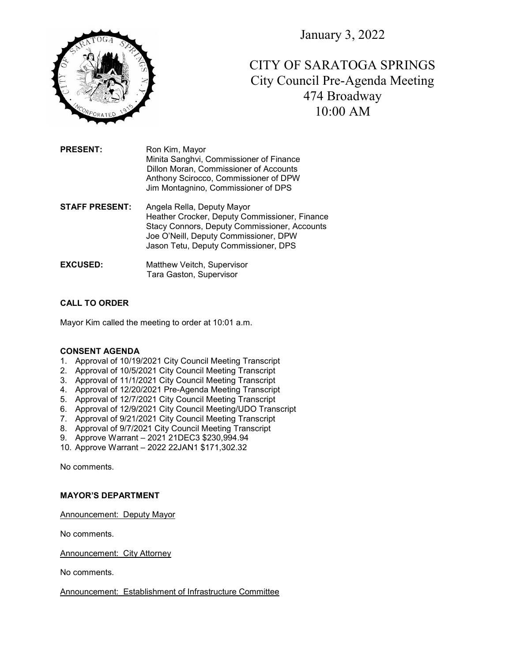January 3, 2022



CITY OF SARATOGA SPRINGS City Council Pre-Agenda Meeting 474 Broadway 10:00 AM

PRESENT: Ron Kim, Mayor Minita Sanghvi, Commissioner of Finance Dillon Moran, Commissioner of Accounts Anthony Scirocco, Commissioner of DPW Jim Montagnino, Commissioner of DPS

**STAFF PRESENT:** Angela Rella, Deputy Mayor Heather Crocker, Deputy Commissioner, Finance Stacy Connors, Deputy Commissioner, Accounts Joe O'Neill, Deputy Commissioner, DPW Jason Tetu, Deputy Commissioner, DPS

EXCUSED: Matthew Veitch, Supervisor Tara Gaston, Supervisor

# CALL TO ORDER

Mayor Kim called the meeting to order at 10:01 a.m.

#### CONSENT AGENDA

- 1. Approval of 10/19/2021 City Council Meeting Transcript
- 2. Approval of 10/5/2021 City Council Meeting Transcript
- 3. Approval of 11/1/2021 City Council Meeting Transcript
- 4. Approval of 12/20/2021 Pre-Agenda Meeting Transcript
- 5. Approval of 12/7/2021 City Council Meeting Transcript
- 6. Approval of 12/9/2021 City Council Meeting/UDO Transcript
- 7. Approval of 9/21/2021 City Council Meeting Transcript
- 8. Approval of 9/7/2021 City Council Meeting Transcript
- 9. Approve Warrant 2021 21DEC3 \$230,994.94
- 10. Approve Warrant 2022 22JAN1 \$171,302.32

No comments.

#### MAYOR'S DEPARTMENT

Announcement: Deputy Mayor

No comments.

Announcement: City Attorney

No comments.

Announcement: Establishment of Infrastructure Committee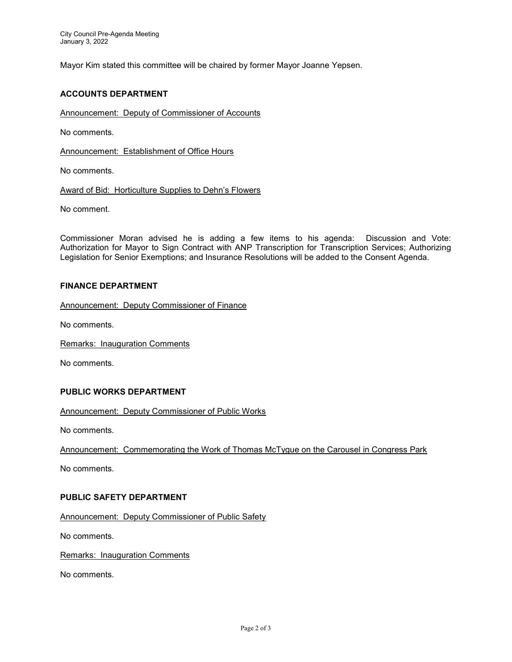Mayor Kim stated this committee will be chaired by former Mayor Joanne Yepsen.

## ACCOUNTS DEPARTMENT

Announcement: Deputy of Commissioner of Accounts

No comments.

Announcement: Establishment of Office Hours

No comments.

Award of Bid: Horticulture Supplies to Dehn's Flowers

No comment.

Commissioner Moran advised he is adding a few items to his agenda: Discussion and Vote: Authorization for Mayor to Sign Contract with ANP Transcription for Transcription Services; Authorizing Legislation for Senior Exemptions; and Insurance Resolutions will be added to the Consent Agenda.

### FINANCE DEPARTMENT

Announcement: Deputy Commissioner of Finance

No comments.

Remarks: Inauguration Comments

No comments.

### PUBLIC WORKS DEPARTMENT

Announcement: Deputy Commissioner of Public Works

No comments.

Announcement: Commemorating the Work of Thomas McTygue on the Carousel in Congress Park

No comments.

## PUBLIC SAFETY DEPARTMENT

Announcement: Deputy Commissioner of Public Safety

No comments.

Remarks: Inauguration Comments

No comments.